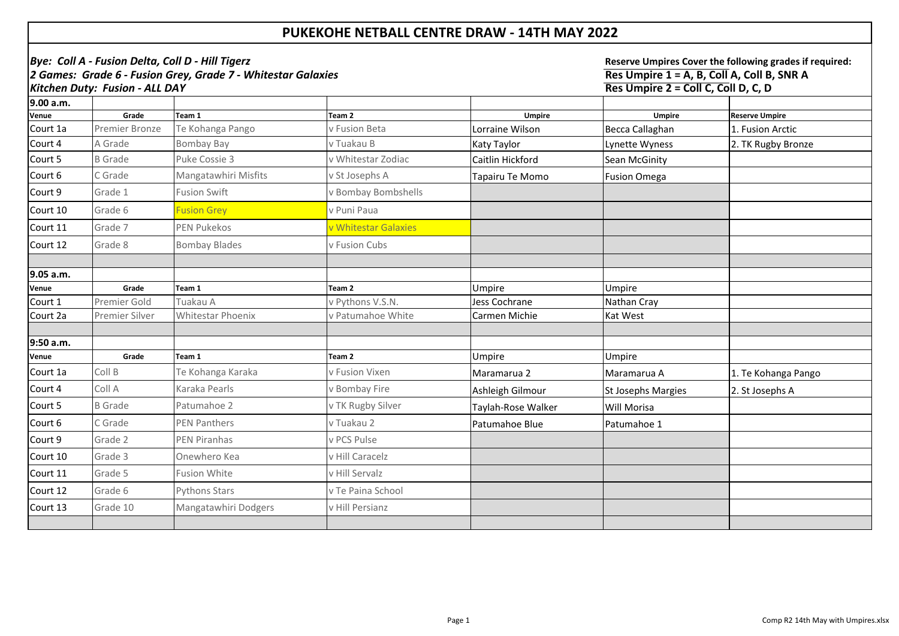| Bye: Coll A - Fusion Delta, Coll D - Hill Tigerz                                               |                       |                             |                      |                    | Reserve Umpires Cover the following grades if required:                           |                       |  |
|------------------------------------------------------------------------------------------------|-----------------------|-----------------------------|----------------------|--------------------|-----------------------------------------------------------------------------------|-----------------------|--|
| 2 Games: Grade 6 - Fusion Grey, Grade 7 - Whitestar Galaxies<br>Kitchen Duty: Fusion - ALL DAY |                       |                             |                      |                    | Res Umpire 1 = A, B, Coll A, Coll B, SNR A<br>Res Umpire 2 = Coll C, Coll D, C, D |                       |  |
| 9.00 a.m.                                                                                      |                       |                             |                      |                    |                                                                                   |                       |  |
| <b>Venue</b>                                                                                   | Grade                 | Team 1                      | Team <sub>2</sub>    | <b>Umpire</b>      | <b>Umpire</b>                                                                     | <b>Reserve Umpire</b> |  |
| Court 1a                                                                                       | <b>Premier Bronze</b> | Te Kohanga Pango            | v Fusion Beta        | Lorraine Wilson    | Becca Callaghan                                                                   | 1. Fusion Arctic      |  |
| Court 4                                                                                        | A Grade               | Bombay Bay                  | v Tuakau B           | Katy Taylor        | Lynette Wyness                                                                    | 2. TK Rugby Bronze    |  |
| Court 5                                                                                        | <b>B</b> Grade        | <b>Puke Cossie 3</b>        | v Whitestar Zodiac   | Caitlin Hickford   | <b>Sean McGinity</b>                                                              |                       |  |
| Court 6                                                                                        | C Grade               | <b>Mangatawhiri Misfits</b> | v St Josephs A       | Tapairu Te Momo    | <b>Fusion Omega</b>                                                               |                       |  |
| Court 9                                                                                        | Grade 1               | <b>Fusion Swift</b>         | v Bombay Bombshells  |                    |                                                                                   |                       |  |
| Court 10                                                                                       | Grade 6               | <b>Fusion Grey</b>          | v Puni Paua          |                    |                                                                                   |                       |  |
| Court 11                                                                                       | Grade 7               | <b>PEN Pukekos</b>          | v Whitestar Galaxies |                    |                                                                                   |                       |  |
| Court 12                                                                                       | Grade 8               | <b>Bombay Blades</b>        | v Fusion Cubs        |                    |                                                                                   |                       |  |
|                                                                                                |                       |                             |                      |                    |                                                                                   |                       |  |
| 9.05 a.m.                                                                                      |                       |                             |                      |                    |                                                                                   |                       |  |
| <b>Venue</b>                                                                                   | Grade                 | Team 1                      | Team <sub>2</sub>    | Umpire             | <b>Umpire</b>                                                                     |                       |  |
| Court 1                                                                                        | <b>Premier Gold</b>   | Tuakau A                    | v Pythons V.S.N.     | Jess Cochrane      | Nathan Cray                                                                       |                       |  |
| Court 2a                                                                                       | <b>Premier Silver</b> | <b>Whitestar Phoenix</b>    | v Patumahoe White    | Carmen Michie      | <b>Kat West</b>                                                                   |                       |  |
| 9:50 a.m.                                                                                      |                       |                             |                      |                    |                                                                                   |                       |  |
| <b>Venue</b>                                                                                   | Grade                 | Team 1                      | Team 2               | Umpire             | <b>Umpire</b>                                                                     |                       |  |
| Court 1a                                                                                       | Coll B                | Te Kohanga Karaka           | v Fusion Vixen       | Maramarua 2        | Maramarua A                                                                       | 1. Te Kohanga Pango   |  |
| Court 4                                                                                        | Coll A                | Karaka Pearls               | v Bombay Fire        | Ashleigh Gilmour   | <b>St Josephs Margies</b>                                                         | 2. St Josephs A       |  |
| Court 5                                                                                        | <b>B</b> Grade        | Patumahoe 2                 | v TK Rugby Silver    | Taylah-Rose Walker | <b>Will Morisa</b>                                                                |                       |  |
| Court 6                                                                                        | C Grade               | <b>PEN Panthers</b>         | v Tuakau 2           | Patumahoe Blue     | Patumahoe 1                                                                       |                       |  |
| Court 9                                                                                        | Grade 2               | PEN Piranhas                | v PCS Pulse          |                    |                                                                                   |                       |  |
| Court 10                                                                                       | Grade 3               | Onewhero Kea                | v Hill Caracelz      |                    |                                                                                   |                       |  |
| Court 11                                                                                       | Grade 5               | <b>Fusion White</b>         | v Hill Servalz       |                    |                                                                                   |                       |  |
| Court 12                                                                                       | Grade 6               | <b>Pythons Stars</b>        | v Te Paina School    |                    |                                                                                   |                       |  |
| Court 13                                                                                       | Grade 10              | Mangatawhiri Dodgers        | v Hill Persianz      |                    |                                                                                   |                       |  |
|                                                                                                |                       |                             |                      |                    |                                                                                   |                       |  |

## **PUKEKOHE NETBALL CENTRE DRAW - 14TH MAY 2022**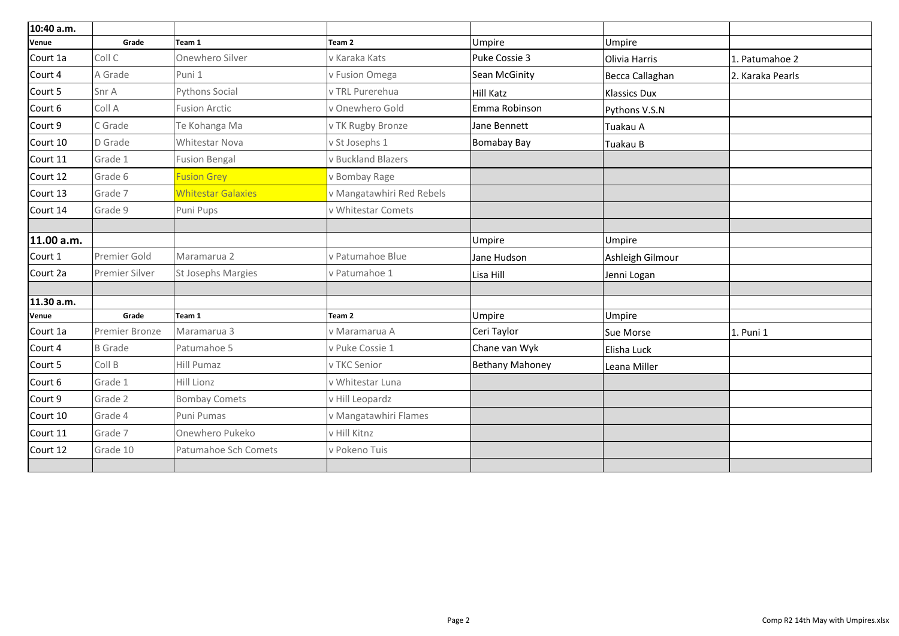| 10:40 a.m.   |                       |                           |                           |                                 |                     |                  |
|--------------|-----------------------|---------------------------|---------------------------|---------------------------------|---------------------|------------------|
| <b>Venue</b> | Grade                 | Team 1                    | Team <sub>2</sub>         | <b>Umpire</b>                   | Umpire              |                  |
| Court 1a     | Coll C                | Onewhero Silver           | v Karaka Kats             | Puke Cossie 3                   | Olivia Harris       | 1. Patumahoe 2   |
| Court 4      | A Grade               | Puni 1                    | v Fusion Omega            | Sean McGinity                   | Becca Callaghan     | 2. Karaka Pearls |
| Court 5      | Snr A                 | <b>Pythons Social</b>     | v TRL Purerehua           | Hill Katz                       | <b>Klassics Dux</b> |                  |
| Court 6      | Coll A                | <b>Fusion Arctic</b>      | v Onewhero Gold           | Emma Robinson                   | Pythons V.S.N       |                  |
| Court 9      | C Grade               | Te Kohanga Ma             | v TK Rugby Bronze         | Jane Bennett                    | Tuakau A            |                  |
| Court 10     | D Grade               | <b>Whitestar Nova</b>     | v St Josephs 1            | Bomabay Bay                     | Tuakau B            |                  |
| Court 11     | Grade 1               | <b>Fusion Bengal</b>      | v Buckland Blazers        |                                 |                     |                  |
| Court 12     | Grade 6               | <b>Fusion Grey</b>        | v Bombay Rage             |                                 |                     |                  |
| Court 13     | Grade 7               | <b>Whitestar Galaxies</b> | v Mangatawhiri Red Rebels |                                 |                     |                  |
| Court 14     | Grade 9               | Puni Pups                 | v Whitestar Comets        |                                 |                     |                  |
| 11.00 a.m.   |                       |                           |                           | Umpire                          | Umpire              |                  |
| Court 1      | <b>Premier Gold</b>   | Maramarua 2               | v Patumahoe Blue          | Ashleigh Gilmour<br>Jane Hudson |                     |                  |
| Court 2a     | <b>Premier Silver</b> | <b>St Josephs Margies</b> | v Patumahoe 1             | Lisa Hill                       | Jenni Logan         |                  |
| 11.30 a.m.   |                       |                           |                           |                                 |                     |                  |
| <b>Venue</b> | Grade                 | Team 1                    | Team 2                    | <b>Umpire</b>                   | Umpire              |                  |
| Court 1a     | <b>Premier Bronze</b> | Maramarua 3               | v Maramarua A             | Ceri Taylor                     | <b>Sue Morse</b>    | 1. Puni 1        |
| Court 4      | <b>B</b> Grade        | Patumahoe 5               | v Puke Cossie 1           | Chane van Wyk                   | Elisha Luck         |                  |
| Court 5      | Coll B                | Hill Pumaz                | v TKC Senior              | <b>Bethany Mahoney</b>          | Leana Miller        |                  |
| Court 6      | Grade 1               | Hill Lionz                | v Whitestar Luna          |                                 |                     |                  |
| Court 9      | Grade 2               | <b>Bombay Comets</b>      | v Hill Leopardz           |                                 |                     |                  |
| Court 10     | Grade 4               | Puni Pumas                | v Mangatawhiri Flames     |                                 |                     |                  |
| Court 11     | Grade 7               | Onewhero Pukeko           | v Hill Kitnz              |                                 |                     |                  |
| Court 12     | Grade 10              | Patumahoe Sch Comets      | v Pokeno Tuis             |                                 |                     |                  |
|              |                       |                           |                           |                                 |                     |                  |

| 1. Patumahoe 2   |
|------------------|
| 2. Karaka Pearls |
|                  |
|                  |
|                  |
|                  |
|                  |
|                  |
|                  |
|                  |
|                  |
|                  |
|                  |
|                  |
|                  |
|                  |
|                  |
| 1. Puni 1        |
|                  |
|                  |
|                  |
|                  |
|                  |
|                  |
|                  |
|                  |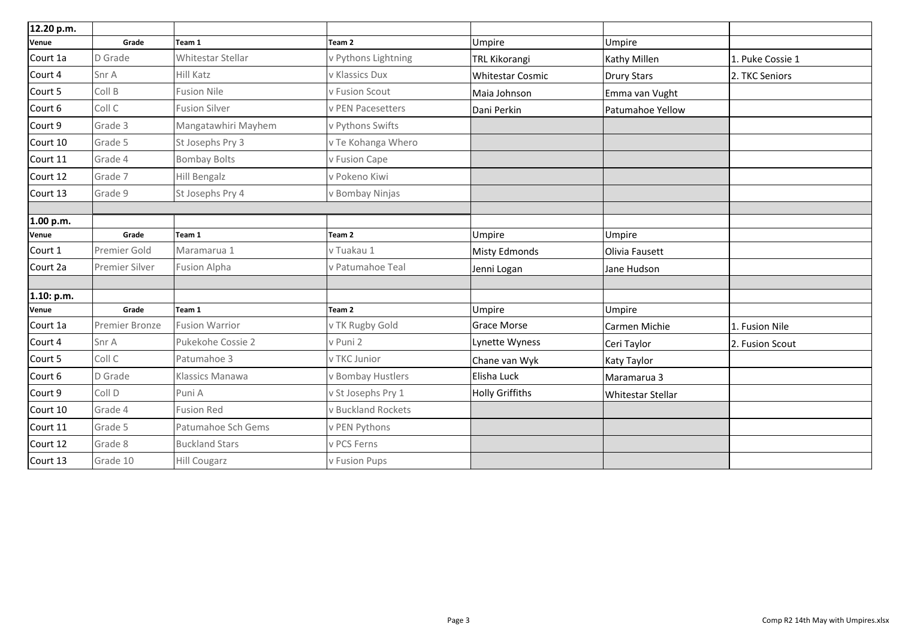| 12.20 p.m.   |                       |                          |                     |                         |                         |                  |
|--------------|-----------------------|--------------------------|---------------------|-------------------------|-------------------------|------------------|
| <b>Venue</b> | Grade                 | Team 1                   | Team <sub>2</sub>   | Umpire                  | Umpire                  |                  |
| Court 1a     | D Grade               | Whitestar Stellar        | v Pythons Lightning | TRL Kikorangi           | Kathy Millen            | 1. Puke Cossie 1 |
| Court 4      | Snr A                 | <b>Hill Katz</b>         | v Klassics Dux      | <b>Whitestar Cosmic</b> | <b>Drury Stars</b>      | 2. TKC Seniors   |
| Court 5      | Coll B                | <b>Fusion Nile</b>       | v Fusion Scout      | Maia Johnson            | Emma van Vught          |                  |
| Court 6      | Coll C                | <b>Fusion Silver</b>     | v PEN Pacesetters   | Dani Perkin             | <b>Patumahoe Yellow</b> |                  |
| Court 9      | Grade 3               | Mangatawhiri Mayhem      | v Pythons Swifts    |                         |                         |                  |
| Court 10     | Grade 5               | St Josephs Pry 3         | v Te Kohanga Whero  |                         |                         |                  |
| Court 11     | Grade 4               | <b>Bombay Bolts</b>      | v Fusion Cape       |                         |                         |                  |
| Court 12     | Grade 7               | <b>Hill Bengalz</b>      | v Pokeno Kiwi       |                         |                         |                  |
| Court 13     | Grade 9               | St Josephs Pry 4         | v Bombay Ninjas     |                         |                         |                  |
| 1.00 p.m.    |                       |                          |                     |                         |                         |                  |
| <b>Venue</b> | Grade                 | Team 1                   | Team 2              | Umpire                  | Umpire                  |                  |
| Court 1      | Premier Gold          | Maramarua 1              | v Tuakau 1          | <b>Misty Edmonds</b>    | Olivia Fausett          |                  |
| Court 2a     | <b>Premier Silver</b> | <b>Fusion Alpha</b>      | v Patumahoe Teal    | Jenni Logan             | Jane Hudson             |                  |
| 1.10: p.m.   |                       |                          |                     |                         |                         |                  |
| <b>Venue</b> | Grade                 | Team 1                   | Team <sub>2</sub>   | Umpire                  | Umpire                  |                  |
| Court 1a     | <b>Premier Bronze</b> | <b>Fusion Warrior</b>    | v TK Rugby Gold     | <b>Grace Morse</b>      | Carmen Michie           | 1. Fusion Nile   |
| Court 4      | Snr A                 | <b>Pukekohe Cossie 2</b> | v Puni 2            | Lynette Wyness          | Ceri Taylor             | 2. Fusion Scout  |
| Court 5      | Coll C                | Patumahoe 3              | v TKC Junior        | Chane van Wyk           | Katy Taylor             |                  |
| Court 6      | D Grade               | <b>Klassics Manawa</b>   | v Bombay Hustlers   | Elisha Luck             | Maramarua 3             |                  |
| Court 9      | Coll D                | Puni A                   | v St Josephs Pry 1  | <b>Holly Griffiths</b>  | Whitestar Stellar       |                  |
| Court 10     | Grade 4               | <b>Fusion Red</b>        | v Buckland Rockets  |                         |                         |                  |
| Court 11     | Grade 5               | Patumahoe Sch Gems       | v PEN Pythons       |                         |                         |                  |
| Court 12     | Grade 8               | <b>Buckland Stars</b>    | v PCS Ferns         |                         |                         |                  |
| Court 13     | Grade 10              | <b>Hill Cougarz</b>      | v Fusion Pups       |                         |                         |                  |
|              |                       |                          |                     |                         |                         |                  |

|   | 1. Puke Cossie 1 |
|---|------------------|
|   | 2. TKC Seniors   |
|   |                  |
| W |                  |
|   |                  |
|   |                  |
|   |                  |
|   |                  |
|   |                  |
|   |                  |
|   |                  |
|   |                  |
|   |                  |
|   |                  |
|   |                  |
|   |                  |
|   |                  |
|   | 1. Fusion Nile   |
|   | 2. Fusion Scout  |
|   |                  |
|   |                  |
|   |                  |
|   |                  |
|   |                  |
|   |                  |
|   |                  |